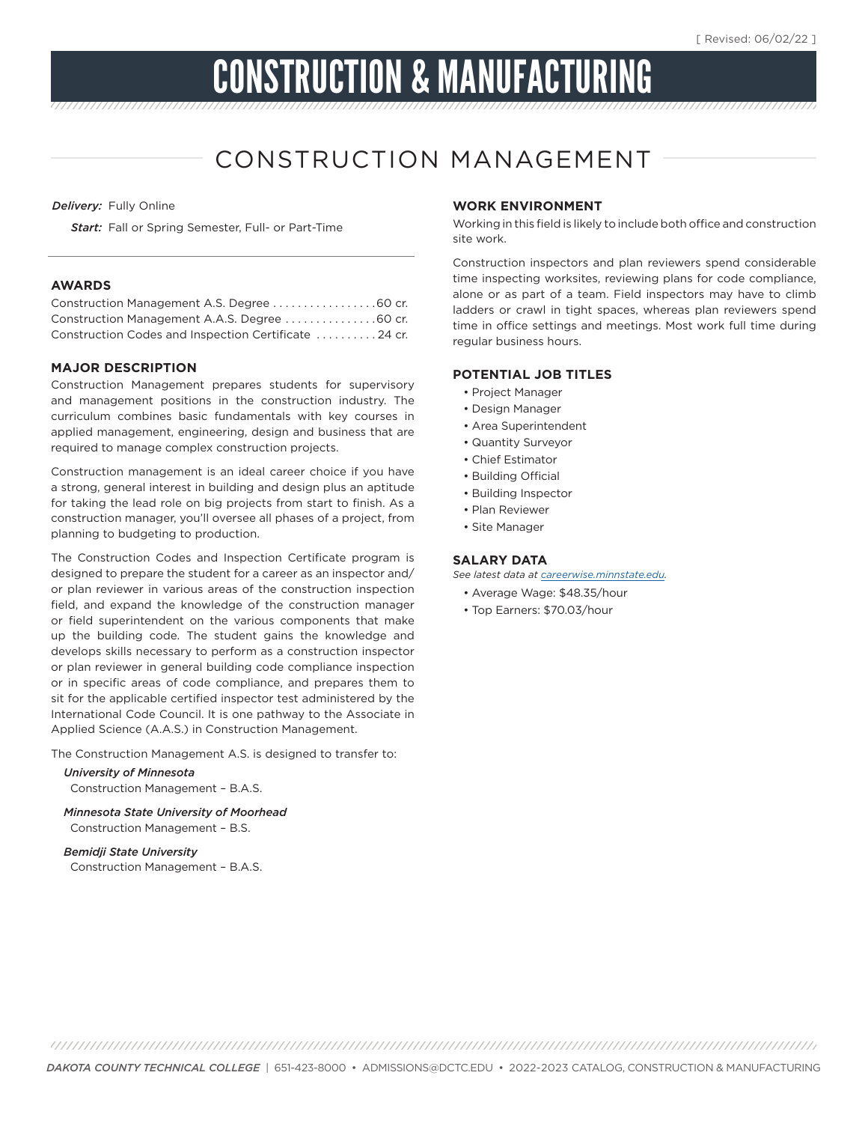# CONSTRUCTION & MANUFACTURING

# CONSTRUCTION MANAGEMENT

*Delivery:* Fully Online

*Start:* Fall or Spring Semester, Full- or Part-Time

#### **AWARDS**

| Construction Management A.A.S. Degree 60 cr.         |  |
|------------------------------------------------------|--|
| Construction Codes and Inspection Certificate 24 cr. |  |

#### **MAJOR DESCRIPTION**

Construction Management prepares students for supervisory and management positions in the construction industry. The curriculum combines basic fundamentals with key courses in applied management, engineering, design and business that are required to manage complex construction projects.

Construction management is an ideal career choice if you have a strong, general interest in building and design plus an aptitude for taking the lead role on big projects from start to finish. As a construction manager, you'll oversee all phases of a project, from planning to budgeting to production.

The Construction Codes and Inspection Certificate program is designed to prepare the student for a career as an inspector and/ or plan reviewer in various areas of the construction inspection field, and expand the knowledge of the construction manager or field superintendent on the various components that make up the building code. The student gains the knowledge and develops skills necessary to perform as a construction inspector or plan reviewer in general building code compliance inspection or in specific areas of code compliance, and prepares them to sit for the applicable certified inspector test administered by the International Code Council. It is one pathway to the Associate in Applied Science (A.A.S.) in Construction Management.

The Construction Management A.S. is designed to transfer to:

*University of Minnesota*  Construction Management – B.A.S.

*Minnesota State University of Moorhead* Construction Management – B.S.

*Bemidji State University*  Construction Management – B.A.S.

#### **WORK ENVIRONMENT**

Working in this field is likely to include both office and construction site work.

Construction inspectors and plan reviewers spend considerable time inspecting worksites, reviewing plans for code compliance, alone or as part of a team. Field inspectors may have to climb ladders or crawl in tight spaces, whereas plan reviewers spend time in office settings and meetings. Most work full time during regular business hours.

#### **POTENTIAL JOB TITLES**

- Project Manager
- Design Manager
- Area Superintendent
- Quantity Surveyor
- Chief Estimator
- Building Official
- Building Inspector
- Plan Reviewer
- Site Manager

#### **SALARY DATA**

*See latest data at careerwise.minnstate.edu.*

- Average Wage: \$48.35/hour
- Top Earners: \$70.03/hour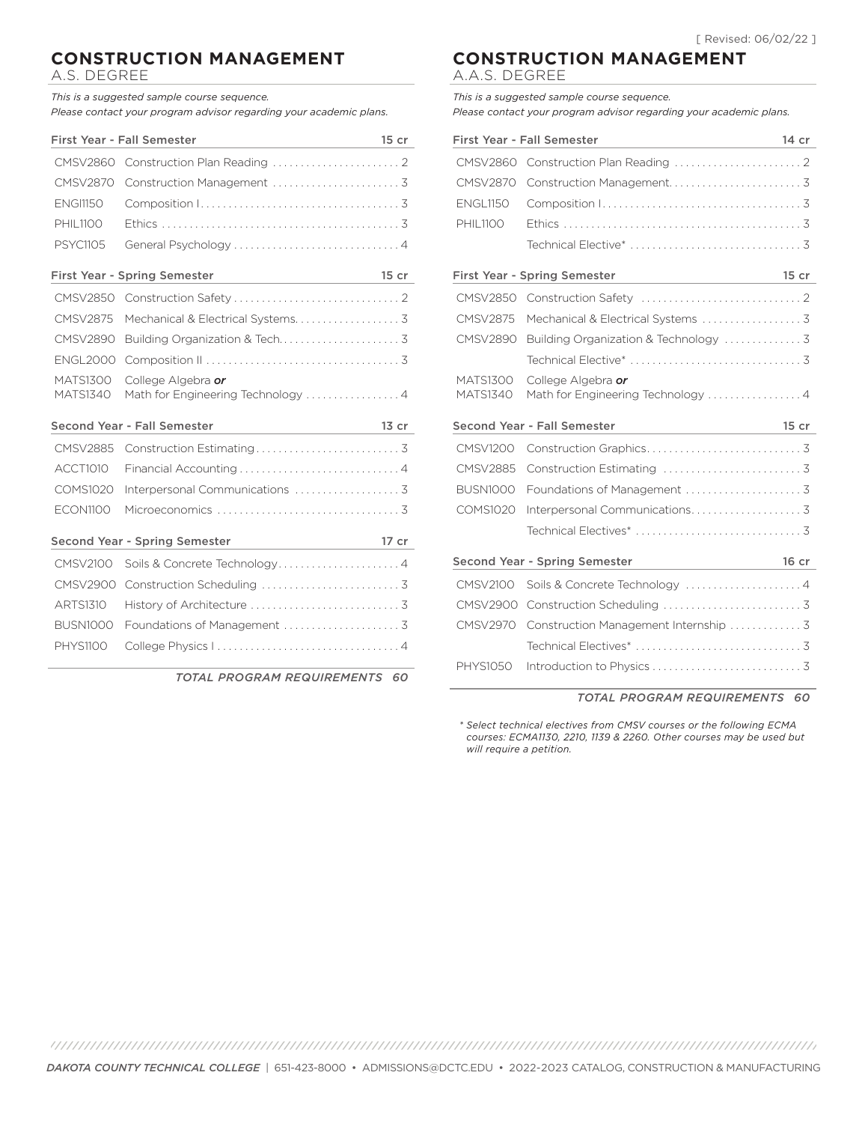## **CONSTRUCTION MANAGEMENT**

A.S. DEGREE

*This is a suggested sample course sequence. Please contact your program advisor regarding your academic plans.*

|                                    | <b>First Year - Fall Semester</b><br>$\mathcal{L}(\mathcal{L}(\mathcal{L}))$ and $\mathcal{L}(\mathcal{L}(\mathcal{L}))$ and $\mathcal{L}(\mathcal{L}(\mathcal{L}))$ . Then $\mathcal{L}(\mathcal{L}(\mathcal{L}))$                                                     | 15 cr   |
|------------------------------------|-------------------------------------------------------------------------------------------------------------------------------------------------------------------------------------------------------------------------------------------------------------------------|---------|
| CMSV2860                           |                                                                                                                                                                                                                                                                         |         |
| <b>CMSV2870</b>                    |                                                                                                                                                                                                                                                                         |         |
| <b>ENGI1150</b>                    |                                                                                                                                                                                                                                                                         |         |
| <b>PHIL1100</b>                    |                                                                                                                                                                                                                                                                         |         |
| <b>PSYC1105</b>                    |                                                                                                                                                                                                                                                                         |         |
|                                    | <b>First Year - Spring Semester</b><br>the control of the control of the control of                                                                                                                                                                                     | 15 cr   |
| CMSV2850                           |                                                                                                                                                                                                                                                                         |         |
| <b>CMSV2875</b>                    |                                                                                                                                                                                                                                                                         |         |
| <b>CMSV2890</b>                    |                                                                                                                                                                                                                                                                         |         |
| <b>ENGL2000</b>                    |                                                                                                                                                                                                                                                                         |         |
| <b>MATS1300</b><br><b>MATS1340</b> | College Algebra or<br>Math for Engineering Technology 4                                                                                                                                                                                                                 |         |
|                                    |                                                                                                                                                                                                                                                                         |         |
|                                    | Second Year - Fall Semester                                                                                                                                                                                                                                             | $13$ cr |
| <b>CMSV2885</b>                    |                                                                                                                                                                                                                                                                         |         |
| ACCT1010                           |                                                                                                                                                                                                                                                                         |         |
| COMS1020                           | Interpersonal Communications  3                                                                                                                                                                                                                                         |         |
| <b>ECON1100</b>                    |                                                                                                                                                                                                                                                                         |         |
|                                    | Second Year - Spring Semester                                                                                                                                                                                                                                           | 17 cr   |
| <b>CMSV2100</b>                    | $\mathcal{L}^{\mathcal{L}}(\mathcal{L}^{\mathcal{L}})$ and $\mathcal{L}^{\mathcal{L}}(\mathcal{L}^{\mathcal{L}})$ and $\mathcal{L}^{\mathcal{L}}(\mathcal{L}^{\mathcal{L}})$ and $\mathcal{L}^{\mathcal{L}}(\mathcal{L}^{\mathcal{L}})$<br>Soils & Concrete Technology4 |         |
| CMSV2900                           |                                                                                                                                                                                                                                                                         |         |
| <b>ARTS1310</b>                    |                                                                                                                                                                                                                                                                         |         |
| <b>BUSN1000</b>                    |                                                                                                                                                                                                                                                                         |         |

*TOTAL PROGRAM REQUIREMENTS 60*

#### **CONSTRUCTION MANAGEMENT** A.A.S. DEGREE

*This is a suggested sample course sequence. Please contact your program advisor regarding your academic plans.*

|                                    | <b>First Year - Fall Semester</b><br><u> 1990 - Jan Barnett, fransk politiker (d. 1980)</u> | 14 cr   |
|------------------------------------|---------------------------------------------------------------------------------------------|---------|
| CMSV2860                           |                                                                                             |         |
| <b>CMSV2870</b>                    |                                                                                             |         |
| <b>ENGL1150</b>                    |                                                                                             |         |
| <b>PHIL1100</b>                    |                                                                                             |         |
|                                    |                                                                                             |         |
|                                    | <b>First Year - Spring Semester</b><br>the control of the control of the control of         | 15 cr   |
| <b>CMSV2850</b>                    |                                                                                             |         |
| <b>CMSV2875</b>                    | Mechanical & Electrical Systems  3                                                          |         |
| CMSV2890                           |                                                                                             |         |
|                                    |                                                                                             |         |
| <b>MATS1300</b><br><b>MATS1340</b> | College Algebra or<br>Math for Engineering Technology  4                                    |         |
|                                    | Second Year - Fall Semester                                                                 | $15$ cr |
| <b>CMSV1200</b>                    |                                                                                             |         |
| <b>CMSV2885</b>                    |                                                                                             |         |
| <b>BUSN1000</b>                    |                                                                                             |         |
| COMS1020                           |                                                                                             |         |
|                                    |                                                                                             |         |
|                                    | <b>Second Year - Spring Semester</b><br>the company of the company of the                   | 16 cr   |
| CMSV2100                           | Soils & Concrete Technology 4                                                               |         |
| CMSV2900                           |                                                                                             |         |
| <b>CMSV2970</b>                    | Construction Management Internship  3                                                       |         |
|                                    |                                                                                             |         |
| <b>PHYS1050</b>                    |                                                                                             |         |

*TOTAL PROGRAM REQUIREMENTS 60*

*\* Select technical electives from CMSV courses or the following ECMA courses: ECMA1130, 2210, 1139 & 2260. Other courses may be used but will require a petition.*

*DAKOTA COUNTY TECHNICAL COLLEGE* | 651-423-8000 • ADMISSIONS@DCTC.EDU • 2022-2023 CATALOG, CONSTRUCTION & MANUFACTURING